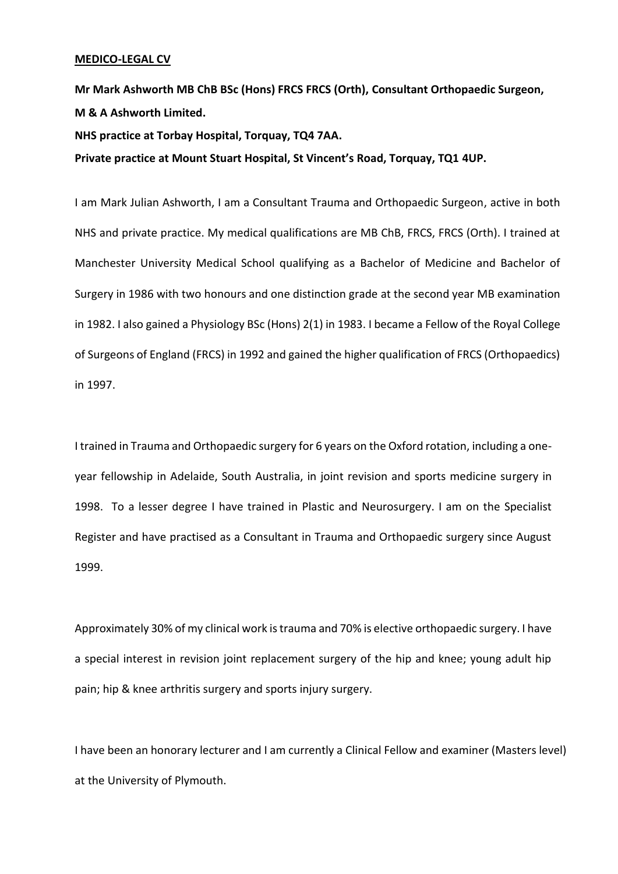#### **MEDICO-LEGAL CV**

**Mr Mark Ashworth MB ChB BSc (Hons) FRCS FRCS (Orth), Consultant Orthopaedic Surgeon, M & A Ashworth Limited.**

**NHS practice at Torbay Hospital, Torquay, TQ4 7AA.**

**Private practice at Mount Stuart Hospital, St Vincent's Road, Torquay, TQ1 4UP.**

I am Mark Julian Ashworth, I am a Consultant Trauma and Orthopaedic Surgeon, active in both NHS and private practice. My medical qualifications are MB ChB, FRCS, FRCS (Orth). I trained at Manchester University Medical School qualifying as a Bachelor of Medicine and Bachelor of Surgery in 1986 with two honours and one distinction grade at the second year MB examination in 1982. I also gained a Physiology BSc (Hons) 2(1) in 1983. I became a Fellow of the Royal College of Surgeons of England (FRCS) in 1992 and gained the higher qualification of FRCS (Orthopaedics) in 1997.

I trained in Trauma and Orthopaedic surgery for 6 years on the Oxford rotation, including a oneyear fellowship in Adelaide, South Australia, in joint revision and sports medicine surgery in 1998. To a lesser degree I have trained in Plastic and Neurosurgery. I am on the Specialist Register and have practised as a Consultant in Trauma and Orthopaedic surgery since August 1999.

Approximately 30% of my clinical work is trauma and 70% is elective orthopaedic surgery. I have a special interest in revision joint replacement surgery of the hip and knee; young adult hip pain; hip & knee arthritis surgery and sports injury surgery.

I have been an honorary lecturer and I am currently a Clinical Fellow and examiner (Masters level) at the University of Plymouth.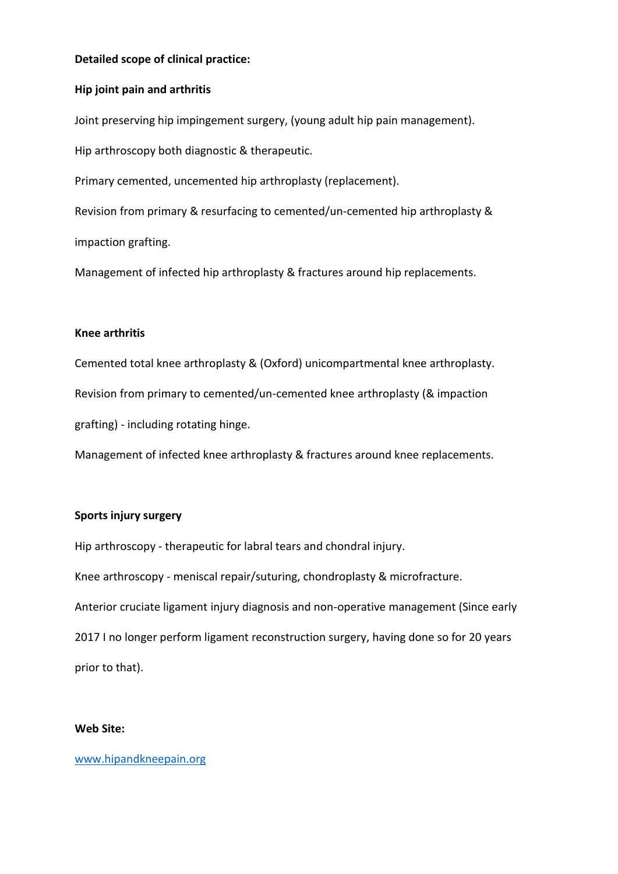# **Detailed scope of clinical practice:**

## **Hip joint pain and arthritis**

Joint preserving hip impingement surgery, (young adult hip pain management).

Hip arthroscopy both diagnostic & therapeutic.

Primary cemented, uncemented hip arthroplasty (replacement).

Revision from primary & resurfacing to cemented/un-cemented hip arthroplasty & impaction grafting.

Management of infected hip arthroplasty & fractures around hip replacements.

## **Knee arthritis**

Cemented total knee arthroplasty & (Oxford) unicompartmental knee arthroplasty. Revision from primary to cemented/un-cemented knee arthroplasty (& impaction grafting) - including rotating hinge.

Management of infected knee arthroplasty & fractures around knee replacements.

# **Sports injury surgery**

Hip arthroscopy - therapeutic for labral tears and chondral injury.

Knee arthroscopy - meniscal repair/suturing, chondroplasty & microfracture.

Anterior cruciate ligament injury diagnosis and non-operative management (Since early

2017 I no longer perform ligament reconstruction surgery, having done so for 20 years prior to that).

### **Web Site:**

# [www.hipandkneepain.org](http://www.hipandkneepain.org/)